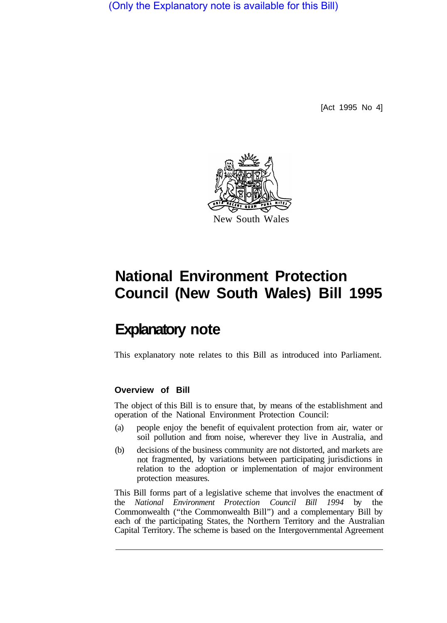(Only the Explanatory note is available for this Bill)

[Act 1995 No 4]



# **National Environment Protection Council (New South Wales) Bill 1995**

# **Explanatory note**

This explanatory note relates to this Bill as introduced into Parliament.

#### **Overview of Bill**

The object of this Bill is to ensure that, by means of the establishment and operation of the National Environment Protection Council:

- (a) people enjoy the benefit of equivalent protection from air, water or soil pollution and from noise, wherever they live in Australia, and
- (b) decisions of the business community are not distorted, and markets are not fragmented, by variations between participating jurisdictions in relation to the adoption or implementation of major environment protection measures.

This Bill forms part of a legislative scheme that involves the enactment of the *National Environment Protection Council Bill 1994* by the Commonwealth ("the Commonwealth Bill") and a complementary Bill by each of the participating States, the Northern Territory and the Australian Capital Territory. The scheme is based on the Intergovernmental Agreement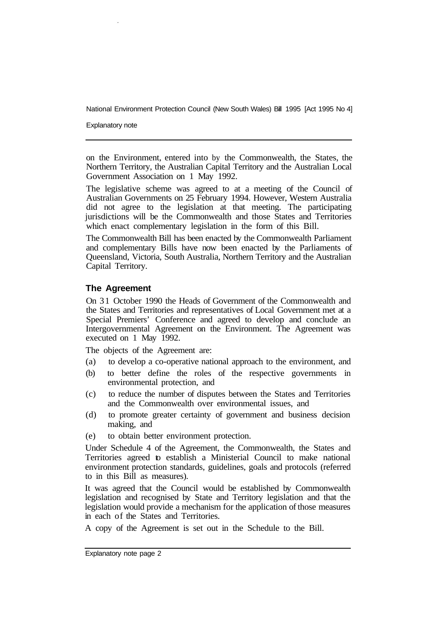Explanatory note

on the Environment, entered into by the Commonwealth, the States, the Northern Territory, the Australian Capital Territory and the Australian Local Government Association on 1 May 1992.

The legislative scheme was agreed to at a meeting of the Council of Australian Governments on 25 February 1994. However, Western Australia did not agree to the legislation at that meeting. The participating jurisdictions will be the Commonwealth and those States and Territories which enact complementary legislation in the form of this Bill.

The Commonwealth Bill has been enacted by the Commonwealth Parliament and complementary Bills have now been enacted by the Parliaments of Queensland, Victoria, South Australia, Northern Territory and the Australian Capital Territory.

#### **The Agreement**

On 3 1 October 1990 the Heads of Government of the Commonwealth and the States and Territories and representatives of Local Government met at a Special Premiers' Conference and agreed to develop and conclude an Intergovernmental Agreement on the Environment. The Agreement was executed on 1 May 1992.

The objects of the Agreement are:

- (a) to develop a co-operative national approach to the environment, and
- (b) to better define the roles of the respective governments in environmental protection, and
- (c) to reduce the number of disputes between the States and Territories and the Commonwealth over environmental issues, and
- (d) to promote greater certainty of government and business decision making, and
- (e) to obtain better environment protection.

Under Schedule 4 of the Agreement, the Commonwealth, the States and Territories agreed to establish a Ministerial Council to make national environment protection standards, guidelines, goals and protocols (referred to in this Bill as measures).

It was agreed that the Council would be established by Commonwealth legislation and recognised by State and Territory legislation and that the legislation would provide a mechanism for the application of those measures in each of the States and Territories.

A copy of the Agreement is set out in the Schedule to the Bill.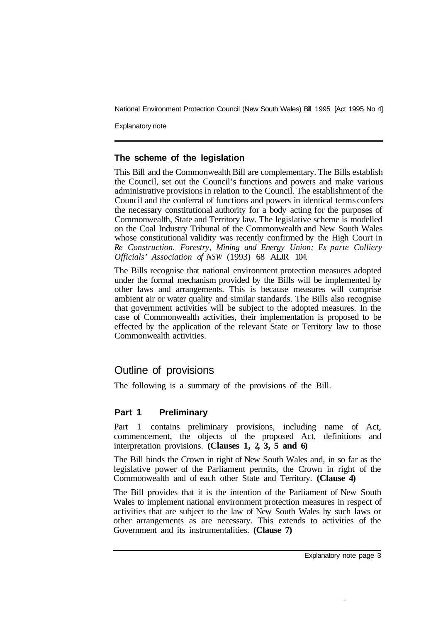Explanatory note

#### **The scheme of the legislation**

This Bill and the Commonwealth Bill are complementary. The Bills establish the Council, set out the Council's functions and powers and make various administrative provisions in relation to the Council. The establishment of the Council and the conferral of functions and powers in identical terms confers the necessary constitutional authority for a body acting for the purposes of Commonwealth, State and Territory law. The legislative scheme is modelled on the Coal Industry Tribunal of the Commonwealth and New South Wales whose constitutional validity was recently confirmed by the High Court in *Re Construction, Forestry, Mining and Energy Union; Ex parte Colliery Officials' Association of NSW* (1993) 68 ALJR 104.

The Bills recognise that national environment protection measures adopted under the formal mechanism provided by the Bills will be implemented by other laws and arrangements. This is because measures will comprise ambient air or water quality and similar standards. The Bills also recognise that government activities will be subject to the adopted measures. In the case of Commonwealth activities, their implementation is proposed to be effected by the application of the relevant State or Territory law to those Commonwealth activities.

# Outline of provisions

The following is a summary of the provisions of the Bill.

# **Part 1 Preliminary**

Part 1 contains preliminary provisions, including name of Act, commencement, the objects of the proposed Act, definitions and interpretation provisions. **(Clauses 1, 2, 3, 5 and 6)** 

The Bill binds the Crown in right of New South Wales and, in so far as the legislative power of the Parliament permits, the Crown in right of the Commonwealth and of each other State and Territory. **(Clause 4)** 

The Bill provides that it is the intention of the Parliament of New South Wales to implement national environment protection measures in respect of activities that are subject to the law of New South Wales by such laws or other arrangements as are necessary. This extends to activities of the Government and its instrumentalities. **(Clause 7)**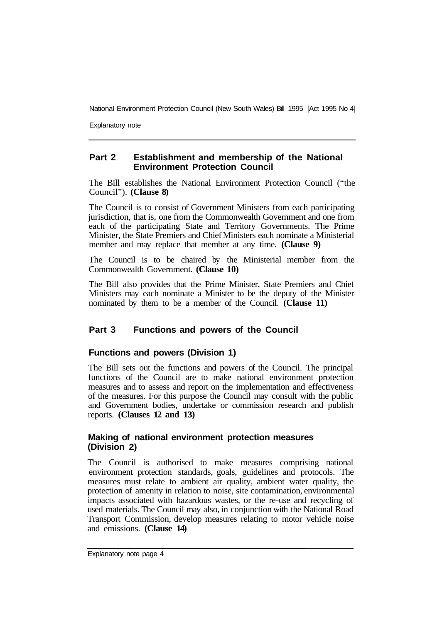Explanatory note

#### **Part 2 Establishment and membership of the National Environment Protection Council**

The Bill establishes the National Environment Protection Council ("the Council"). **(Clause 8)** 

The Council is to consist of Government Ministers from each participating jurisdiction, that is, one from the Commonwealth Government and one from each of the participating State and Territory Governments. The Prime Minister, the State Premiers and Chief Ministers each nominate a Ministerial member and may replace that member at any time. **(Clause 9)** 

The Council is to be chaired by the Ministerial member from the Commonwealth Government. **(Clause 10)** 

The Bill also provides that the Prime Minister, State Premiers and Chief Ministers may each nominate a Minister to be the deputy of the Minister nominated by them to be a member of the Council. **(Clause 11)** 

#### **Part 3 Functions and powers of the Council**

#### **Functions and powers (Division 1)**

The Bill sets out the functions and powers of the Council. The principal functions of the Council are to make national environment protection measures and to assess and report on the implementation and effectiveness of the measures. For this purpose the Council may consult with the public and Government bodies, undertake or commission research and publish reports. **(Clauses 12 and 13)** 

#### **Making of national environment protection measures (Division 2)**

The Council is authorised to make measures comprising national environment protection standards, goals, guidelines and protocols. The measures must relate to ambient air quality, ambient water quality, the protection of amenity in relation to noise, site contamination, environmental impacts associated with hazardous wastes, or the re-use and recycling of used materials. The Council may also, in conjunction with the National Road Transport Commission, develop measures relating to motor vehicle noise and emissions. **(Clause 14)**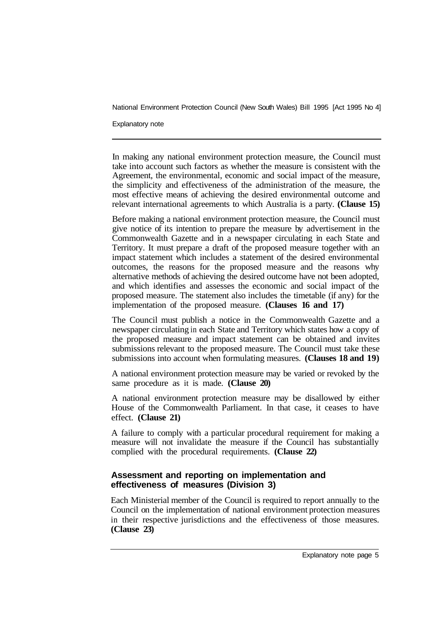#### Explanatory note

In making any national environment protection measure, the Council must take into account such factors as whether the measure is consistent with the Agreement, the environmental, economic and social impact of the measure, the simplicity and effectiveness of the administration of the measure, the most effective means of achieving the desired environmental outcome and relevant international agreements to which Australia is a party. **(Clause 15)** 

Before making a national environment protection measure, the Council must give notice of its intention to prepare the measure by advertisement in the Commonwealth Gazette and in a newspaper circulating in each State and Territory. It must prepare a draft of the proposed measure together with an impact statement which includes a statement of the desired environmental outcomes, the reasons for the proposed measure and the reasons why alternative methods of achieving the desired outcome have not been adopted, and which identifies and assesses the economic and social impact of the proposed measure. The statement also includes the timetable (if any) for the implementation of the proposed measure. **(Clauses 16 and 17)** 

The Council must publish a notice in the Commonwealth Gazette and a newspaper circulating in each State and Territory which states how a copy of the proposed measure and impact statement can be obtained and invites submissions relevant to the proposed measure. The Council must take these submissions into account when formulating measures. **(Clauses 18 and 19)** 

A national environment protection measure may be varied or revoked by the same procedure as it is made. **(Clause 20)** 

A national environment protection measure may be disallowed by either House of the Commonwealth Parliament. In that case, it ceases to have effect. **(Clause 21)** 

A failure to comply with a particular procedural requirement for making a measure will not invalidate the measure if the Council has substantially complied with the procedural requirements. **(Clause 22)** 

#### **Assessment and reporting on implementation and effectiveness of measures (Division 3)**

Each Ministerial member of the Council is required to report annually to the Council on the implementation of national environment protection measures in their respective jurisdictions and the effectiveness of those measures. **(Clause 23)**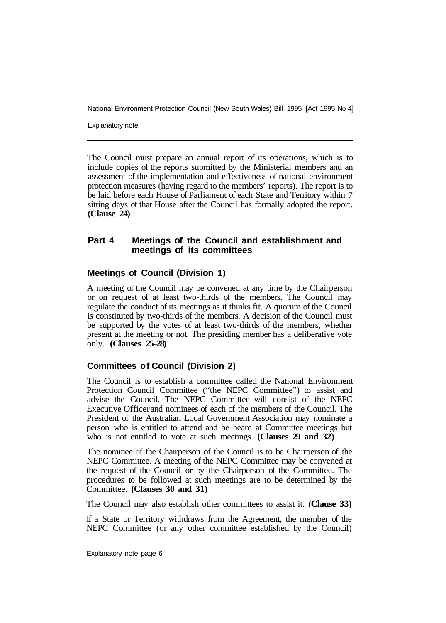Explanatory note

The Council must prepare an annual report of its operations, which is to include copies of the reports submitted by the Ministerial members and an assessment of the implementation and effectiveness of national environment protection measures (having regard to the members' reports). The report is to be laid before each House of Parliament of each State and Territory within 7 sitting days of that House after the Council has formally adopted the report. **(Clause 24)** 

#### **Part 4 Meetings of the Council and establishment and meetings of its committees**

#### **Meetings of Council (Division 1)**

A meeting of the Council may be convened at any time by the Chairperson or on request of at least two-thirds of the members. The Council may regulate the conduct of its meetings as it thinks fit. A quorum of the Council is constituted by two-thirds of the members. A decision of the Council must be supported by the votes of at least two-thirds of the members, whether present at the meeting or not. The presiding member has a deliberative vote only. **(Clauses 25–28)** 

#### **Committees of Council (Division 2)**

The Council is to establish a committee called the National Environment Protection Council Committee ("the NEPC Committee") to assist and advise the Council. The NEPC Committee will consist of the NEPC Executive Officer and nominees of each of the members of the Council. The President of the Australian Local Government Association may nominate a person who is entitled to attend and be heard at Committee meetings but who is not entitled to vote at such meetings. **(Clauses 29 and 32)** 

The nominee of the Chairperson of the Council is to be Chairperson of the NEPC Committee. A meeting of the NEPC Committee may be convened at the request of the Council or by the Chairperson of the Committee. The procedures to be followed at such meetings are to be determined by the Committee. **(Clauses 30 and 31)** 

The Council may also establish other committees to assist it. **(Clause 33)** 

If a State or Territory withdraws from the Agreement, the member of the NEPC Committee (or any other committee established by the Council)

Explanatory note page 6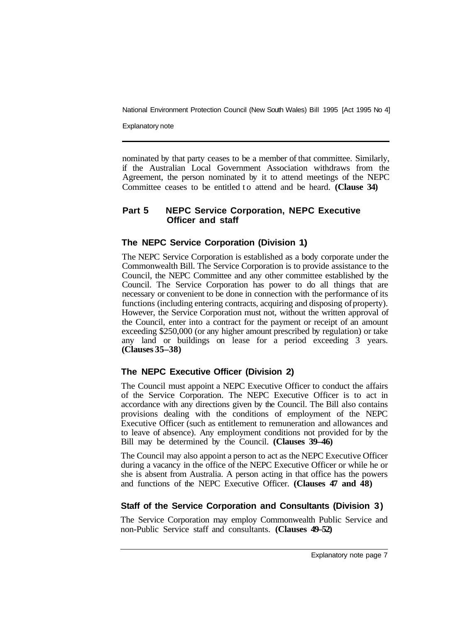Explanatory note

nominated by that party ceases to be a member of that committee. Similarly, if the Australian Local Government Association withdraws from the Agreement, the person nominated by it to attend meetings of the NEPC Committee ceases to be entitled to attend and be heard. **(Clause 34)** 

### **Part 5 NEPC Service Corporation, NEPC Executive Officer and staff**

### **The NEPC Service Corporation (Division 1)**

The NEPC Service Corporation is established as a body corporate under the Commonwealth Bill. The Service Corporation is to provide assistance to the Council, the NEPC Committee and any other committee established by the Council. The Service Corporation has power to do all things that are necessary or convenient to be done in connection with the performance of its functions (including entering contracts, acquiring and disposing of property). However, the Service Corporation must not, without the written approval of the Council, enter into a contract for the payment or receipt of an amount exceeding \$250,000 (or any higher amount prescribed by regulation) or take any land or buildings on lease for a period exceeding 3 years. **(Clauses 35–38)** 

# **The NEPC Executive Officer (Division 2)**

The Council must appoint a NEPC Executive Officer to conduct the affairs of the Service Corporation. The NEPC Executive Officer is to act in accordance with any directions given by the Council. The Bill also contains provisions dealing with the conditions of employment of the NEPC Executive Officer (such as entitlement to remuneration and allowances and to leave of absence). Any employment conditions not provided for by the Bill may be determined by the Council. **(Clauses 39–46)** 

The Council may also appoint a person to act as the NEPC Executive Officer during a vacancy in the office of the NEPC Executive Officer or while he or she is absent from Australia. A person acting in that office has the powers and functions of the NEPC Executive Officer. **(Clauses 47 and 48)** 

# **Staff of the Service Corporation and Consultants (Division 3)**

The Service Corporation may employ Commonwealth Public Service and non-Public Service staff and consultants. **(Clauses 49–52)**